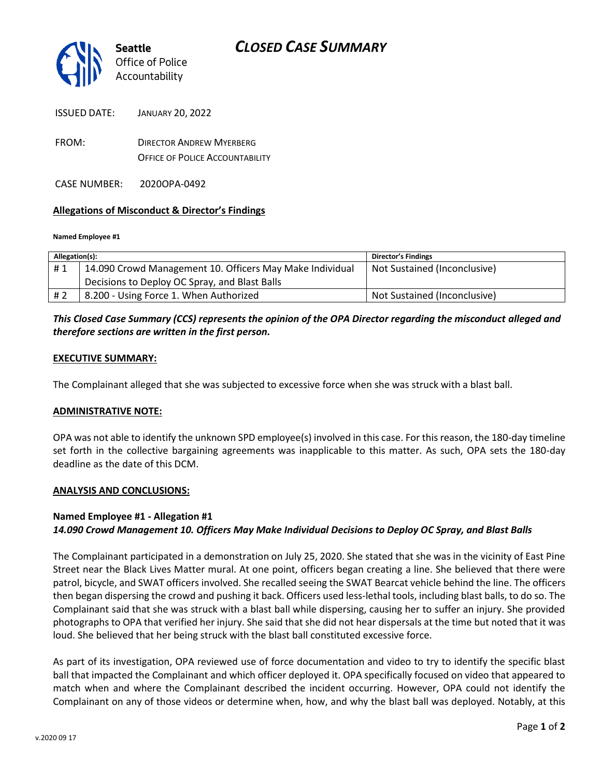

FROM: DIRECTOR ANDREW MYERBERG OFFICE OF POLICE ACCOUNTABILITY

CASE NUMBER: 2020OPA-0492

## **Allegations of Misconduct & Director's Findings**

#### **Named Employee #1**

| Allegation(s): |                                                          | <b>Director's Findings</b>   |
|----------------|----------------------------------------------------------|------------------------------|
| #1             | 14.090 Crowd Management 10. Officers May Make Individual | Not Sustained (Inconclusive) |
|                | Decisions to Deploy OC Spray, and Blast Balls            |                              |
| #2             | 8.200 - Using Force 1. When Authorized                   | Not Sustained (Inconclusive) |

## *This Closed Case Summary (CCS) represents the opinion of the OPA Director regarding the misconduct alleged and therefore sections are written in the first person.*

### **EXECUTIVE SUMMARY:**

The Complainant alleged that she was subjected to excessive force when she was struck with a blast ball.

#### **ADMINISTRATIVE NOTE:**

OPA was not able to identify the unknown SPD employee(s) involved in this case. For this reason, the 180-day timeline set forth in the collective bargaining agreements was inapplicable to this matter. As such, OPA sets the 180-day deadline as the date of this DCM.

#### **ANALYSIS AND CONCLUSIONS:**

## **Named Employee #1 - Allegation #1** *14.090 Crowd Management 10. Officers May Make Individual Decisions to Deploy OC Spray, and Blast Balls*

The Complainant participated in a demonstration on July 25, 2020. She stated that she was in the vicinity of East Pine Street near the Black Lives Matter mural. At one point, officers began creating a line. She believed that there were patrol, bicycle, and SWAT officers involved. She recalled seeing the SWAT Bearcat vehicle behind the line. The officers then began dispersing the crowd and pushing it back. Officers used less-lethal tools, including blast balls, to do so. The Complainant said that she was struck with a blast ball while dispersing, causing her to suffer an injury. She provided photographs to OPA that verified her injury. She said that she did not hear dispersals at the time but noted that it was loud. She believed that her being struck with the blast ball constituted excessive force.

As part of its investigation, OPA reviewed use of force documentation and video to try to identify the specific blast ball that impacted the Complainant and which officer deployed it. OPA specifically focused on video that appeared to match when and where the Complainant described the incident occurring. However, OPA could not identify the Complainant on any of those videos or determine when, how, and why the blast ball was deployed. Notably, at this